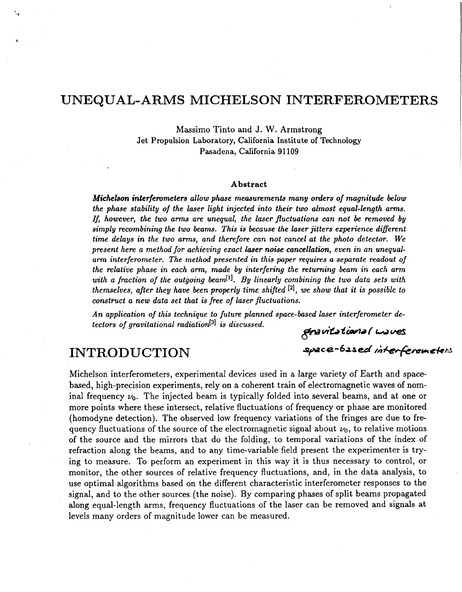## UNEQUAL-ARMS MICHELSON INTERFEROMETERS

Massimo Tinto and J. W. Armstrong Jet Propulsion Laboratory, California Institute of Technology Pasadena, California **91109** 

#### **Abstract**

*Michelson interfernmeters allow phase measurements many orders of magnitude below the phase stability of the laser light injected into their two almost equal-length arms. If, however, the two arms are unequal, the laser fluctuations can not be removed by simply recombining the two beams. This is because the laser jitters experience diflerent time delays in the two arms, and therefore can not cancel at the photo detector. We present here a method for achieving exact laser noise cancellation, even in an unequalarm interferometer. The method presented in this paper requires a separate readout of the relative phase in each arm, made by interfering the returning beam in each arm with a fraction of the outgoing beam[']. By linearly combining the two data sets with themselves, after they have been properly time shifted* ['I, *we show that it is possible to construct a new data set that is free of laser fluctuations.* 

*An application of this technique to future planned space-based laser interferometer detectors of gravitational radiation*<sup>[3]</sup> *is discussed. Bravitational waves* 

space-based interferometers

# INTRODUCTION

Michelson interferometers, experimental devices used in a large variety of Earth and spacebased, high-precision experiments, rely on a coherent train of electromagnetic waves of nominal frequency  $\nu_0$ . The injected beam is typically folded into several beams, and at one or more points where these intersect, relative fluctuations of frequency or phase are monitored (homodyne detection). The observed low frequency variations of the fringes are due to frequency fluctuations of the source of the electromagnetic signal about  $\nu_0$ , to relative motions of the source and the mirrors that do the folding, to temporal variations of the index of refraction along the beams, and to any time-variable field present the experimenter is trying to measure. To perform an experiment in this way it is thus necessary to control, or monitor, the other sources of relative frequency fluctuations, and, in the data analysis, to use optimal algorithms based on the different characteristic interferometer responses to the signal, and to the other sources. (the noise). By comparing phases of split beams propagated along equal-length arms, frequency fluctuations of the laser can be removed and signals at levels many orders of magnitude lower can be measured.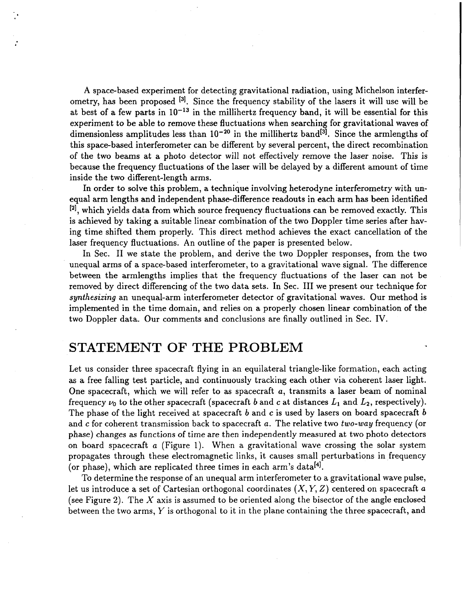**A** space-based experiment for detecting gravitational radiation, using Michelson interferometry, has been proposed **f31.** Since the frequency stability of the lasers it will use will be at best of a few parts in  $10^{-13}$  in the millihertz frequency band, it will be essential for this experiment to be able to remove these fluctuations when searching for gravitational waves of dimensionless amplitudes less than  $10^{-20}$  in the millihertz band<sup>[3]</sup>. Since the armlengths of this space-based interferometer can be different by several percent, the direct recombination of the two beams at a photo detector will not effectively remove the laser noise. This is because the frequency fluctuations of the laser will be delayed by a different amount of time inside the two different-length arms.

In order to solve this problem, a technique involving heterodyne interferometry with unequal arm lengths and independent phase-difference readouts in each arm has been identified **[2],** which yields data from which source frequency fluctuations can be removed exactly. This is achieved by taking a suitable linear combination of the two Doppler time series after having time shifted them properly. This direct method achieves the exact cancellation of the laser frequency fluctuations. An outline of the paper is presented below.

In Sec. 11 we state the problem, and derive the two Doppler responses, from the two unequal arms of a space-based interferometer, to a gravitational wave signal. The difference between the armlengths implies that the frequency fluctuations of the laser can not be removed by direct differencing of the two data sets. In Sec. I11 we present our technique for *synthesizing* an unequal-arm interferometer detector of gravitational waves. Our method is implemented in the time domain, and relies on a properly chosen linear combination of the two Doppler data. Our comments and conclusions are finally outlined in Sec. IV.

## STATEMENT OF THE PROBLEM

Let us consider three spacecraft flying in an equilateral triangle-like formation, each acting as a free falling test particle, and continuously tracking each other via coherent laser light. One spacecraft, which we will refer to as spacecraft *a,* transmits a laser beam of nominal frequency  $\nu_0$  to the other spacecraft (spacecraft *b* and *c* at distances  $L_1$  and  $L_2$ , respectively). The phase of the light received at spacecraft *b* and *c* is used by lasers on board spacecraft *b*  and *c* for coherent transmission back to spacecraft *a.* The relative two *two-way* frequency (or phase) changes as functions of time are then independently measured at two photo detectors on board spacecraft *a* (Figure 1). When a gravitational wave crossing the solar system propagates through these electromagnetic links, it causes small perturbations in frequency (or phase), which are replicated three times in each arm's data<sup>[4]</sup>.

To determine the response of an unequal arm interferometer to a gravitational wave pulse, let us introduce a set of Cartesian orthogonal coordinates *(X, Y,* 2) centered on spacecraft *<sup>a</sup>* (see Figure 2). The *X* axis is assumed to be oriented along the bisector of the angle enclosed between the two arms, *Y* is orthogonal to it in the plane containing the three spacecraft, and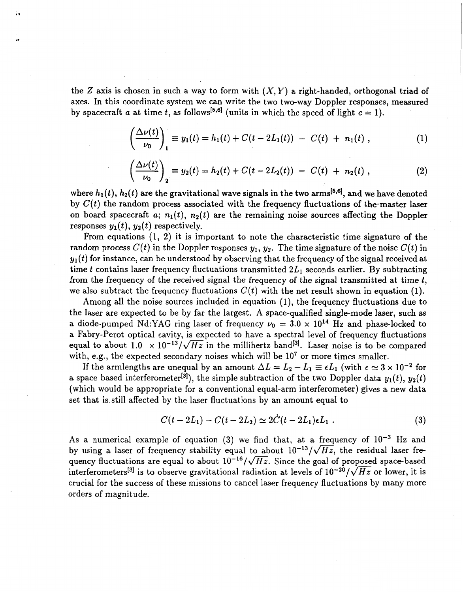the Z axis is chosen in such a way to form with  $(X, Y)$  a right-handed, orthogonal triad of axes. In this coordinate system we can write the two two-way Doppler responses, measured by spacecraft *a* at time *t*, as follows<sup>[5,6]</sup> (units in which the speed of light  $c = 1$ ).

*c* 

$$
\left(\frac{\Delta \nu(t)}{\nu_0}\right)_1 \equiv y_1(t) = h_1(t) + C(t - 2L_1(t)) - C(t) + n_1(t), \qquad (1)
$$

$$
\left(\frac{\Delta \nu(t)}{\nu_0}\right)_2 \equiv y_2(t) = h_2(t) + C(t - 2L_2(t)) - C(t) + n_2(t), \qquad (2)
$$

where  $h_1(t)$ ,  $h_2(t)$  are the gravitational wave signals in the two arms<sup>[5,6]</sup>, and we have denoted by  $C(t)$  the random process associated with the frequency fluctuations of the-master laser on board spacecraft  $a$ ;  $n_1(t)$ ,  $n_2(t)$  are the remaining noise sources affecting the Doppler responses  $y_1(t)$ ,  $y_2(t)$  respectively.

From equations (1, 2) it is important to note the characteristic time signature of the random process  $C(t)$  in the Doppler responses  $y_1, y_2$ . The time signature of the noise  $C(t)$  in  $y_1(t)$  for instance, can be understood by observing that the frequency of the signal received at time  $t$  contains laser frequency fluctuations transmitted  $2L_1$  seconds earlier. By subtracting from the frequency of the received signal the frequency of the signal transmitted at time *t,*  we also subtract the frequency fluctuations  $C(t)$  with the net result shown in equation (1).

Among all the noise sources included in equation (1), the frequency fluctuations due to the laser are expected to be by far the largest. A space-qualified single-mode laser, such as a diode-pumped Nd:YAG ring laser of frequency  $\nu_0 = 3.0 \times 10^{14}$  Hz and phase-locked to a Fabry-Perot optical cavity, is expected to have a spectral level of frequency fluctuations equal to about  $1.0 \times 10^{-13}/\sqrt{Hz}$  in the millihertz band<sup>[3]</sup>. Laser noise is to be compared with, e.g., the expected secondary noises which will be  $10<sup>7</sup>$  or more times smaller.

If the armlengths are unequal by an amount  $\Delta L = L_2 - L_1 \equiv \epsilon L_1$  (with  $\epsilon \approx 3 \times 10^{-2}$  for a space based interferometer<sup>[3]</sup>), the simple subtraction of the two Doppler data  $y_1(t)$ ,  $y_2(t)$ (which would be appropriate for a conventional equal-arm interferometer) gives a new data set that is still affected by the laser fluctuations by an amount equal to

$$
C(t - 2L_1) - C(t - 2L_2) \simeq 2\dot{C}(t - 2L_1)\epsilon L_1 \ . \tag{3}
$$

As a numerical example of equation  $(3)$  we find that, at a frequency of  $10^{-3}$  Hz and by using a laser of frequency stability equal to about  $10^{-13}/\sqrt{Hz}$ , the residual laser frequency fluctuations are equal to about  $10^{-16}/\sqrt{Hz}$ . Since the goal of proposed space-based interferometers<sup>[3]</sup> is to observe gravitational radiation at levels of  $10^{-20}/\sqrt{Hz}$  or lower, it is crucial for the success of these missions to cancel laser frequency fluctuations by many more orders of magnitude.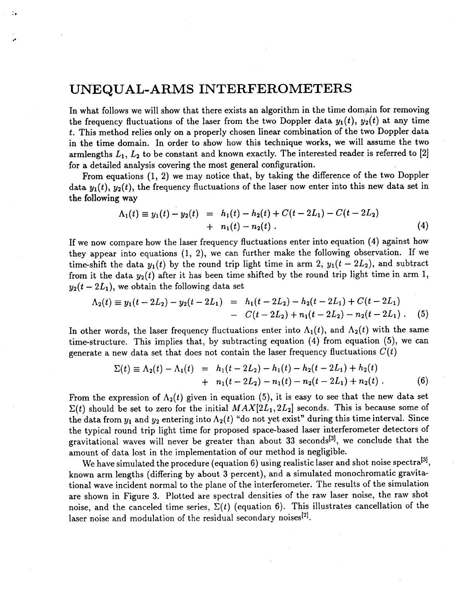## **UNEQUAL-ARMS INTERFEROMETERS**

 $\ddot{\phantom{0}}$ 

In what follows we will show that there exists an algorithm in the time domain for removing the frequency fluctuations of the laser from the two Doppler data  $y_1(t)$ ,  $y_2(t)$  at any time *t.* This method relies only on a properly chosen linear combination of the two Doppler data in the time domain. In order to show how this technique works, we will assume the two armlengths *L1, L2* to be constant and known exactly. The interested reader is referred to *[2]*  for a detailed analysis covering the most general configuration.

From equations (1, *2)* we may notice that, by taking the difference of the two Doppler data  $y_1(t)$ ,  $y_2(t)$ , the frequency fluctuations of the laser now enter into this new data set in the following way

$$
\Lambda_1(t) \equiv y_1(t) - y_2(t) = h_1(t) - h_2(t) + C(t - 2L_1) - C(t - 2L_2) + n_1(t) - n_2(t).
$$
\n(4)

If we now compare how the laser frequency fluctuations enter into equation **(4)** against how they appear into equations (1, *2),* we can further make the following observation. If we time-shift the data  $y_1(t)$  by the round trip light time in arm 2,  $y_1(t - 2L_2)$ , and subtract from it the data  $y_2(t)$  after it has been time shifted by the round trip light time in arm 1,  $y_2(t - 2L_1)$ , we obtain the following data set

$$
\Lambda_2(t) \equiv y_1(t - 2L_2) - y_2(t - 2L_1) = h_1(t - 2L_2) - h_2(t - 2L_1) + C(t - 2L_1)
$$
  
- 
$$
C(t - 2L_2) + n_1(t - 2L_2) - n_2(t - 2L_1).
$$
 (5)

In other words, the laser frequency fluctuations enter into  $\Lambda_1(t)$ , and  $\Lambda_2(t)$  with the same time-structure. This implies that, by subtracting equation **(4)** from equation (5), we can

generate a new data set that does not contain the laser frequency fluctuations 
$$
C(t)
$$
  
\n
$$
\Sigma(t) \equiv \Lambda_2(t) - \Lambda_1(t) = h_1(t - 2L_2) - h_1(t) - h_2(t - 2L_1) + h_2(t) + n_1(t - 2L_2) - n_1(t) - n_2(t - 2L_1) + n_2(t).
$$
\n(6)

From the expression of  $\Lambda_2(t)$  given in equation (5), it is easy to see that the new data set  $\Sigma(t)$  should be set to zero for the initial  $MAX[2L_1, 2L_2]$  seconds. This is because some of the data from  $y_1$  and  $y_2$  entering into  $\Lambda_2(t)$  "do not yet exist" during this time interval. Since the typical round trip light time for proposed space-based laser interferometer detectors of gravitational waves will never be greater than about 33 seconds<sup>[3]</sup>, we conclude that the amount of data lost in the implementation of our method is negligible.

We have simulated the procedure (equation 6) using realistic laser and shot noise spectra<sup>[3]</sup>, known arm lengths (differing by about **3** percent), and a simulated monochromatic gravitational wave incident normal to the plane of the interferometer. The results of the simulation are shown in Figure **3.** Plotted are spectral densities of the raw laser noise, the raw shot noise, and the canceled time series,  $\Sigma(t)$  (equation 6). This illustrates cancellation of the laser noise and modulation of the residual secondary noises<sup>[2]</sup>.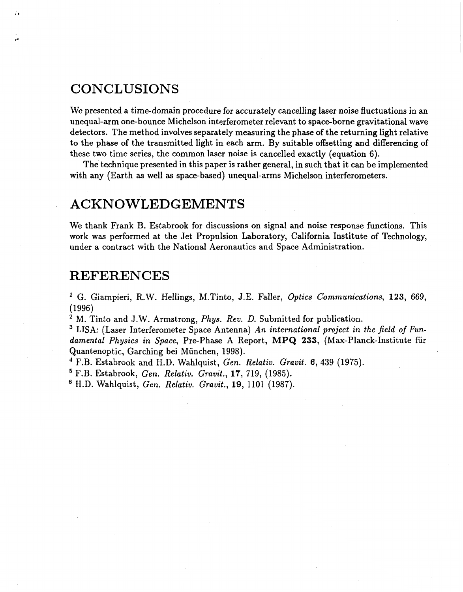## **CONCLUSIONS**

ñ.

We presented a time-domain procedure for accurately cancelling laser noise fluctuations in an unequal-arm one-bounce Michelson interferometer relevant to space-borne gravitational wave detectors. The method involves separately measuring the phase of the returning light relative to the phase of the transmitted light in each arm. By suitable offsetting and differencing **of**  these two time series, the common laser noise is cancelled exactly (equation *6).* 

The technique presented in this paper is rather general, in such that it can be implemented with any (Earth as well as space-based) unequal-arms Michelson interferometers.

## ACKNOWLEDGEMENTS

We thank Frank B. Estabrook for discussions on signal and noise response functions. This work **was** performed at the Jet Propulsion Laboratory, California Institute of Technology, under a contract with the National Aeronautics and Space Administration.

#### REFERENCES

*G.* Giampieri, R.W. Hellings, M.Tinto, J.E. Faller, *Optics Communications,* **123,** 669, (1996)

<sup>2</sup> M. Tinto and J.W. Armstrong, *Phys. Rev. D.* Submitted for publication.

LISA: (Laser Interferometer Space Antenna) **An** *international project in the field of Fundamental Physics in Space,* Pre-Phase A Report, **MPQ 233,** (Max-Planck-Institute fur Quantenoptic, Garching bei München, 1998).

F.B. Estabrook and H.D. Wahlquist, *Gen. Relatiu. Grauit.* **6,** 439 (1975).

F.B. Estabrook, *Gen. Relatiu. Grauit.,* **17,** 719, (1985).

H.D. Wahlquist, *Gen. Relatiu. Grauit.,* **19,** 1101 (1987).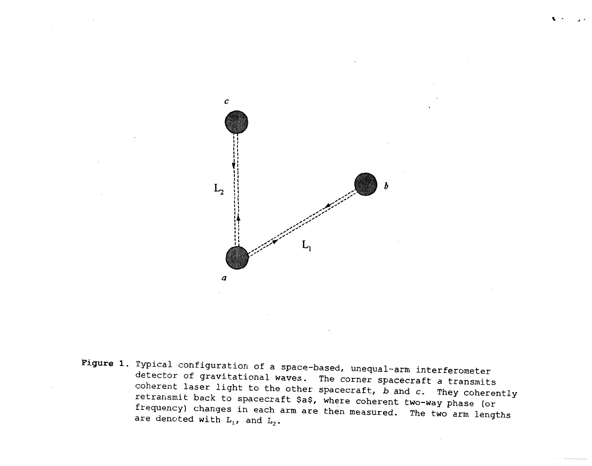

Figure 1. Typical configuration of a space-based, unequal-arm interferometer detector of gravitational waves. The corner spacecraft a transmits coherent laser light to the other spacecraft,  $b$  and  $c$ . They coherently retransmit back to spacecraft \$a\$, where coherent two-way phase (or frequency) changes in each arm are then measured. The two arm lengths are denoted with  $L_1$ , and  $L_2$ .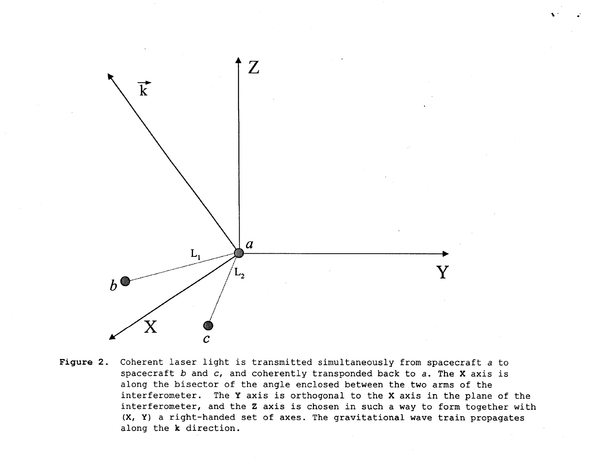

Figure 2. Coherent laser light is transmitted simultaneously from spacecraft a to spacecraft b and c, and coherently transponded back to a. The X axis is along the bisector of the angle enclosed between the two arms of the interferometer. The Y axis is orthogonal to the X axis in the plane of the interferometer, and the Z axis is chosen in such a way to form together with (X, Y) a right-handed set of axes. The gravitational wave train propagates along the k direction.